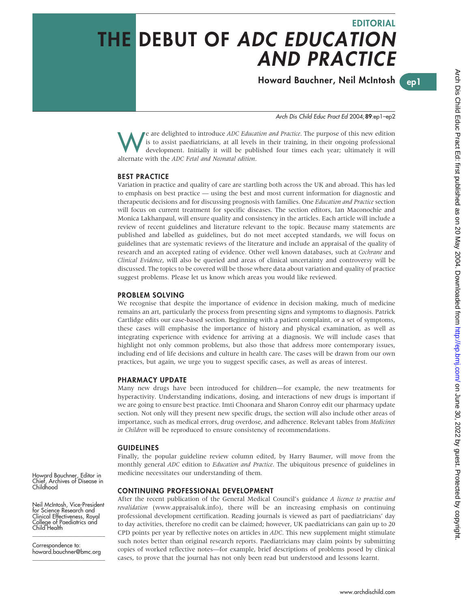# EDITORIAL THE DEBUT OF ADC EDUCATION AND PRACTICE

Howard Bauchner, Neil McIntosh

ep1

Arch Dis Child Educ Pract Ed 2004;89:ep1–ep2

We are delighted to introduce *ADC Education and Practice*. The purpose of this new edition<br>development. Initially it will be published four times each year; ultimately it will<br>alternate with the *ADC Estal and Negastal ed* is to assist paediatricians, at all levels in their training, in their ongoing professional alternate with the ADC Fetal and Neonatal edition.

## BEST PRACTICE

Variation in practice and quality of care are startling both across the UK and abroad. This has led to emphasis on best practice — using the best and most current information for diagnostic and therapeutic decisions and for discussing prognosis with families. One Education and Practice section will focus on current treatment for specific diseases. The section editors, Ian Maconochie and Monica Lakhanpaul, will ensure quality and consistency in the articles. Each article will include a review of recent guidelines and literature relevant to the topic. Because many statements are published and labelled as guidelines, but do not meet accepted standards, we will focus on guidelines that are systematic reviews of the literature and include an appraisal of the quality of research and an accepted rating of evidence. Other well known databases, such at Cochrane and Clinical Evidence, will also be queried and areas of clinical uncertainty and controversy will be discussed. The topics to be covered will be those where data about variation and quality of practice suggest problems. Please let us know which areas you would like reviewed.

#### PROBLEM SOLVING

We recognise that despite the importance of evidence in decision making, much of medicine remains an art, particularly the process from presenting signs and symptoms to diagnosis. Patrick Cartlidge edits our case-based section. Beginning with a patient complaint, or a set of symptoms, these cases will emphasise the importance of history and physical examination, as well as integrating experience with evidence for arriving at a diagnosis. We will include cases that highlight not only common problems, but also those that address more contemporary issues, including end of life decisions and culture in health care. The cases will be drawn from our own practices, but again, we urge you to suggest specific cases, as well as areas of interest.

#### PHARMACY UPDATE

Many new drugs have been introduced for children—for example, the new treatments for hyperactivity. Understanding indications, dosing, and interactions of new drugs is important if we are going to ensure best practice. Imti Choonara and Sharon Conroy edit our pharmacy update section. Not only will they present new specific drugs, the section will also include other areas of importance, such as medical errors, drug overdose, and adherence. Relevant tables from Medicines in Children will be reproduced to ensure consistency of recommendations.

#### GUIDELINES

Finally, the popular guideline review column edited, by Harry Baumer, will move from the monthly general ADC edition to *Education and Practice*. The ubiquitous presence of guidelines in medicine necessitates our understanding of them.

### CONTINUING PROFESSIONAL DEVELOPMENT

After the recent publication of the General Medical Council's guidance A licence to practise and revalidation (www.appraisaluk.info), there will be an increasing emphasis on continuing professional development certification. Reading journals is viewed as part of paediatricians' day to day activities, therefore no credit can be claimed; however, UK paediatricians can gain up to 20 CPD points per year by reflective notes on articles in ADC. This new supplement might stimulate such notes better than original research reports. Paediatricians may claim points by submitting copies of worked reflective notes—for example, brief descriptions of problems posed by clinical cases, to prove that the journal has not only been read but understood and lessons learnt.

Howard Bauchner, Editor in Chief, Archives of Disease in Childhood

Neil McIntosh, Vice-President for Science Research and Clinical Effectiveness, Royal College of Paediatrics and Child Health

\_\_\_\_\_\_\_\_\_\_\_\_\_\_\_\_\_\_\_\_\_\_\_\_\_ Correspondence to: howard.bauchner@bmc.org \_\_\_\_\_\_\_\_\_\_\_\_\_\_\_\_\_\_\_\_\_\_\_\_\_